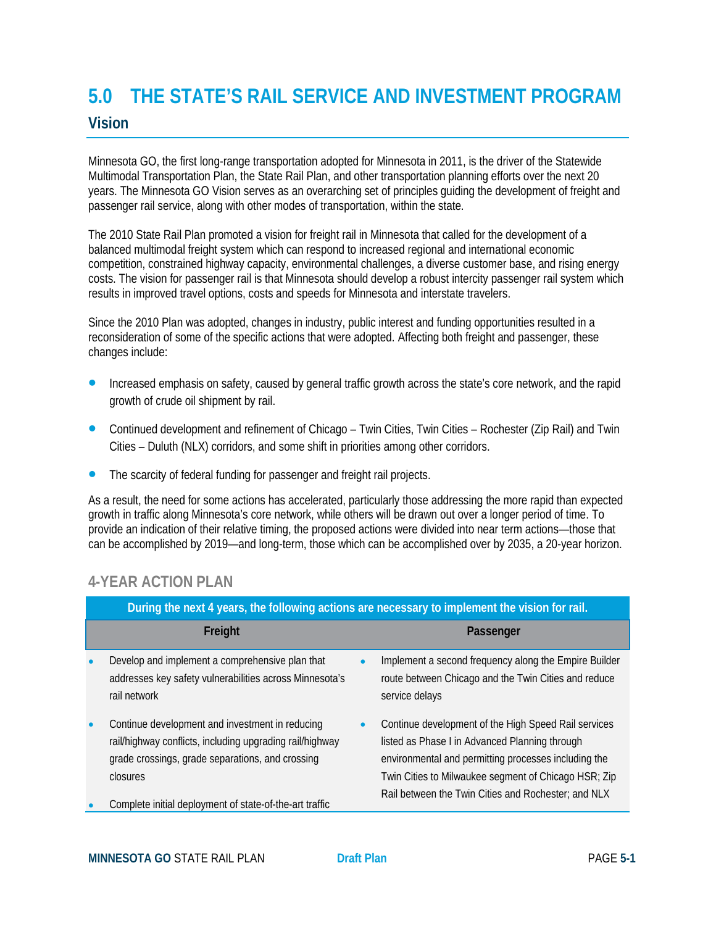# **5.0 THE STATE'S RAIL SERVICE AND INVESTMENT PROGRAM Vision**

Minnesota GO, the first long-range transportation adopted for Minnesota in 2011, is the driver of the Statewide Multimodal Transportation Plan, the State Rail Plan, and other transportation planning efforts over the next 20 years. The Minnesota GO Vision serves as an overarching set of principles guiding the development of freight and passenger rail service, along with other modes of transportation, within the state.

The 2010 State Rail Plan promoted a vision for freight rail in Minnesota that called for the development of a balanced multimodal freight system which can respond to increased regional and international economic competition, constrained highway capacity, environmental challenges, a diverse customer base, and rising energy costs. The vision for passenger rail is that Minnesota should develop a robust intercity passenger rail system which results in improved travel options, costs and speeds for Minnesota and interstate travelers.

Since the 2010 Plan was adopted, changes in industry, public interest and funding opportunities resulted in a reconsideration of some of the specific actions that were adopted. Affecting both freight and passenger, these changes include:

- **Increased emphasis on safety, caused by general traffic growth across the state's core network, and the rapid** growth of crude oil shipment by rail.
- Continued development and refinement of Chicago Twin Cities, Twin Cities Rochester (Zip Rail) and Twin Cities – Duluth (NLX) corridors, and some shift in priorities among other corridors.
- The scarcity of federal funding for passenger and freight rail projects.

As a result, the need for some actions has accelerated, particularly those addressing the more rapid than expected growth in traffic along Minnesota's core network, while others will be drawn out over a longer period of time. To provide an indication of their relative timing, the proposed actions were divided into near term actions—those that can be accomplished by 2019—and long-term, those which can be accomplished over by 2035, a 20-year horizon.

## **4-YEAR ACTION PLAN**

|           | During the next 4 years, the following actions are necessary to implement the vision for rail.                                                                              |  |                                                                                                                                                                                                                                                                               |  |  |  |
|-----------|-----------------------------------------------------------------------------------------------------------------------------------------------------------------------------|--|-------------------------------------------------------------------------------------------------------------------------------------------------------------------------------------------------------------------------------------------------------------------------------|--|--|--|
|           | Freight                                                                                                                                                                     |  | Passenger                                                                                                                                                                                                                                                                     |  |  |  |
| $\bullet$ | Develop and implement a comprehensive plan that<br>addresses key safety vulnerabilities across Minnesota's<br>rail network                                                  |  | Implement a second frequency along the Empire Builder<br>route between Chicago and the Twin Cities and reduce<br>service delays                                                                                                                                               |  |  |  |
| $\bullet$ | Continue development and investment in reducing<br>rail/highway conflicts, including upgrading rail/highway<br>grade crossings, grade separations, and crossing<br>closures |  | Continue development of the High Speed Rail services<br>listed as Phase I in Advanced Planning through<br>environmental and permitting processes including the<br>Twin Cities to Milwaukee segment of Chicago HSR; Zip<br>Rail between the Twin Cities and Rochester; and NLX |  |  |  |
| $\bullet$ | Complete initial deployment of state-of-the-art traffic                                                                                                                     |  |                                                                                                                                                                                                                                                                               |  |  |  |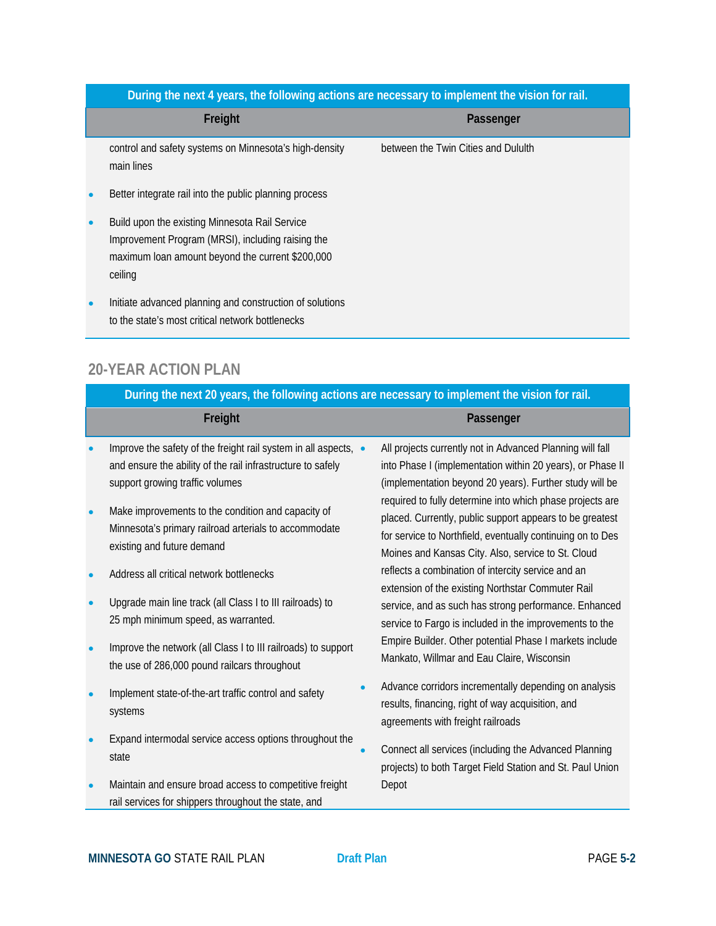### **During the next 4 years, the following actions are necessary to implement the vision for rail.**

|           | Freight                                                                                                                                                            | Passenger                           |  |
|-----------|--------------------------------------------------------------------------------------------------------------------------------------------------------------------|-------------------------------------|--|
|           | control and safety systems on Minnesota's high-density<br>main lines                                                                                               | between the Twin Cities and Dululth |  |
| $\bullet$ | Better integrate rail into the public planning process                                                                                                             |                                     |  |
| $\bullet$ | Build upon the existing Minnesota Rail Service<br>Improvement Program (MRSI), including raising the<br>maximum loan amount beyond the current \$200,000<br>ceiling |                                     |  |
| $\bullet$ | Initiate advanced planning and construction of solutions<br>to the state's most critical network bottlenecks                                                       |                                     |  |

## **20-YEAR ACTION PLAN**

| During the next 20 years, the following actions are necessary to implement the vision for rail.                                                                   |  |                                                                                                                                                                                                                                           |  |  |  |  |
|-------------------------------------------------------------------------------------------------------------------------------------------------------------------|--|-------------------------------------------------------------------------------------------------------------------------------------------------------------------------------------------------------------------------------------------|--|--|--|--|
| Freight                                                                                                                                                           |  | Passenger                                                                                                                                                                                                                                 |  |  |  |  |
| Improve the safety of the freight rail system in all aspects, •<br>and ensure the ability of the rail infrastructure to safely<br>support growing traffic volumes |  | All projects currently not in Advanced Planning will fall<br>into Phase I (implementation within 20 years), or Phase II<br>(implementation beyond 20 years). Further study will be                                                        |  |  |  |  |
| Make improvements to the condition and capacity of<br>Minnesota's primary railroad arterials to accommodate<br>existing and future demand                         |  | required to fully determine into which phase projects are<br>placed. Currently, public support appears to be greatest<br>for service to Northfield, eventually continuing on to Des<br>Moines and Kansas City. Also, service to St. Cloud |  |  |  |  |
| Address all critical network bottlenecks                                                                                                                          |  | reflects a combination of intercity service and an<br>extension of the existing Northstar Commuter Rail                                                                                                                                   |  |  |  |  |
| Upgrade main line track (all Class I to III railroads) to<br>25 mph minimum speed, as warranted.                                                                  |  | service, and as such has strong performance. Enhanced<br>service to Fargo is included in the improvements to the                                                                                                                          |  |  |  |  |
| Improve the network (all Class I to III railroads) to support<br>the use of 286,000 pound railcars throughout                                                     |  | Empire Builder. Other potential Phase I markets include<br>Mankato, Willmar and Eau Claire, Wisconsin                                                                                                                                     |  |  |  |  |
| Implement state-of-the-art traffic control and safety<br>systems                                                                                                  |  | Advance corridors incrementally depending on analysis<br>results, financing, right of way acquisition, and<br>agreements with freight railroads                                                                                           |  |  |  |  |
| Expand intermodal service access options throughout the<br>state                                                                                                  |  | Connect all services (including the Advanced Planning<br>projects) to both Target Field Station and St. Paul Union                                                                                                                        |  |  |  |  |
| Maintain and ensure broad access to competitive freight                                                                                                           |  | Depot                                                                                                                                                                                                                                     |  |  |  |  |

rail services for shippers throughout the state, and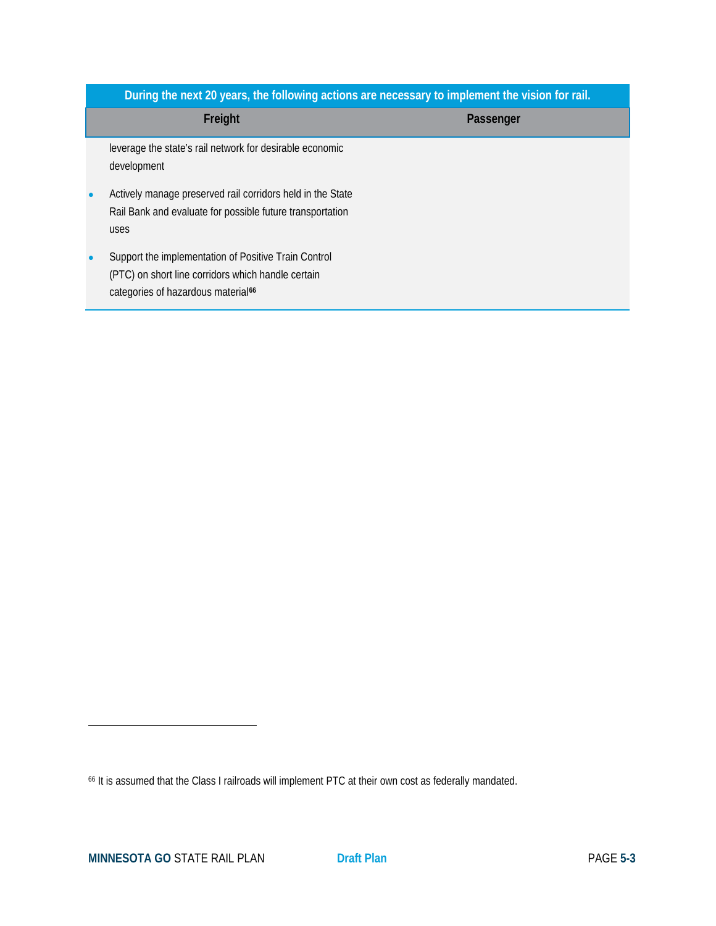|                                                                                                                                                              | During the next 20 years, the following actions are necessary to implement the vision for rail. |  |  |  |  |  |  |
|--------------------------------------------------------------------------------------------------------------------------------------------------------------|-------------------------------------------------------------------------------------------------|--|--|--|--|--|--|
| Freight                                                                                                                                                      | Passenger                                                                                       |  |  |  |  |  |  |
| leverage the state's rail network for desirable economic<br>development                                                                                      |                                                                                                 |  |  |  |  |  |  |
| Actively manage preserved rail corridors held in the State<br>Rail Bank and evaluate for possible future transportation<br>uses                              |                                                                                                 |  |  |  |  |  |  |
| Support the implementation of Positive Train Control<br>(PTC) on short line corridors which handle certain<br>categories of hazardous material <sup>66</sup> |                                                                                                 |  |  |  |  |  |  |

 $\overline{a}$ 

<span id="page-2-0"></span><sup>66</sup> It is assumed that the Class I railroads will implement PTC at their own cost as federally mandated.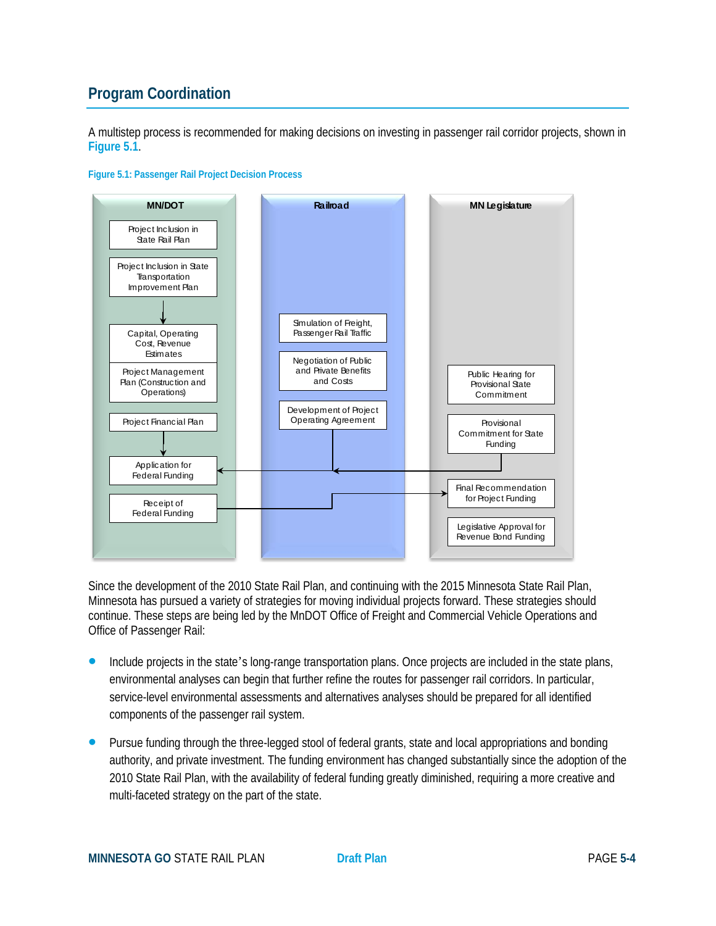## **Program Coordination**

A multistep process is recommended for making decisions on investing in passenger rail corridor projects, shown in **Figure 5.1**.



## **Figure 5.1: Passenger Rail Project Decision Process**

Since the development of the 2010 State Rail Plan, and continuing with the 2015 Minnesota State Rail Plan, Minnesota has pursued a variety of strategies for moving individual projects forward. These strategies should continue. These steps are being led by the MnDOT Office of Freight and Commercial Vehicle Operations and Office of Passenger Rail:

- **Include projects in the state's long-range transportation plans. Once projects are included in the state plans,** environmental analyses can begin that further refine the routes for passenger rail corridors. In particular, service-level environmental assessments and alternatives analyses should be prepared for all identified components of the passenger rail system.
- Pursue funding through the three-legged stool of federal grants, state and local appropriations and bonding authority, and private investment. The funding environment has changed substantially since the adoption of the 2010 State Rail Plan, with the availability of federal funding greatly diminished, requiring a more creative and multi-faceted strategy on the part of the state.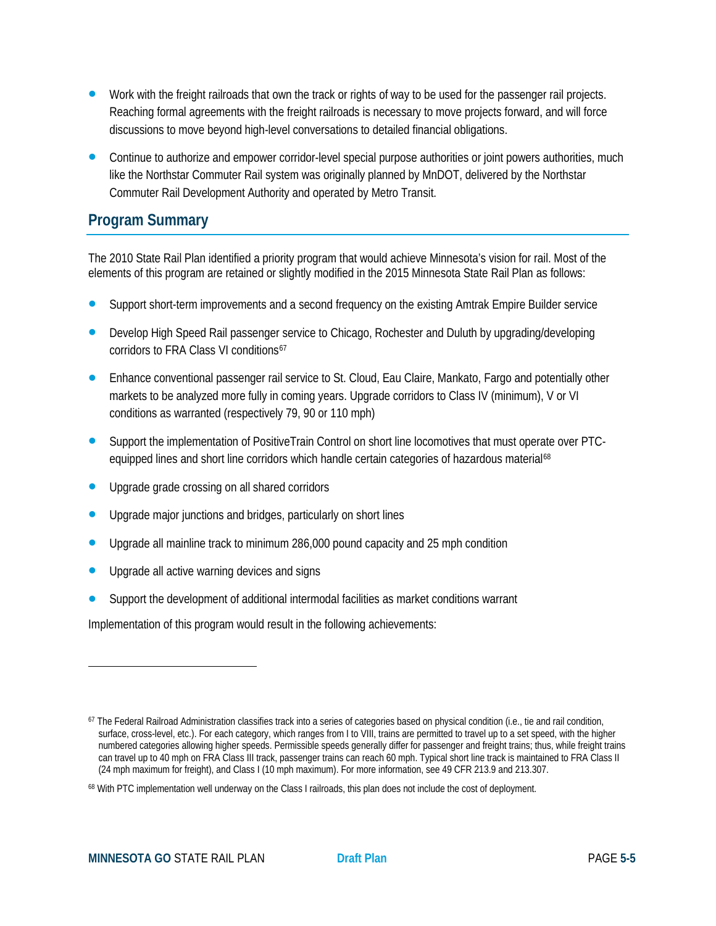- Work with the freight railroads that own the track or rights of way to be used for the passenger rail projects. Reaching formal agreements with the freight railroads is necessary to move projects forward, and will force discussions to move beyond high-level conversations to detailed financial obligations.
- Continue to authorize and empower corridor-level special purpose authorities or joint powers authorities, much like the Northstar Commuter Rail system was originally planned by MnDOT, delivered by the Northstar Commuter Rail Development Authority and operated by Metro Transit.

## **Program Summary**

The 2010 State Rail Plan identified a priority program that would achieve Minnesota's vision for rail. Most of the elements of this program are retained or slightly modified in the 2015 Minnesota State Rail Plan as follows:

- Support short-term improvements and a second frequency on the existing Amtrak Empire Builder service
- Develop High Speed Rail passenger service to Chicago, Rochester and Duluth by upgrading/developing corridors to FRA Class VI conditions<sup>[67](#page-4-0)</sup>
- **•** Enhance conventional passenger rail service to St. Cloud, Eau Claire, Mankato, Fargo and potentially other markets to be analyzed more fully in coming years. Upgrade corridors to Class IV (minimum), V or VI conditions as warranted (respectively 79, 90 or 110 mph)
- Support the implementation of PositiveTrain Control on short line locomotives that must operate over PTC-equipped lines and short line corridors which handle certain categories of hazardous material<sup>[68](#page-4-1)</sup>
- Upgrade grade crossing on all shared corridors
- Upgrade major junctions and bridges, particularly on short lines
- Upgrade all mainline track to minimum 286,000 pound capacity and 25 mph condition
- Upgrade all active warning devices and signs
- Support the development of additional intermodal facilities as market conditions warrant

Implementation of this program would result in the following achievements:

 $\overline{a}$ 

<span id="page-4-0"></span><sup>&</sup>lt;sup>67</sup> The Federal Railroad Administration classifies track into a series of categories based on physical condition (i.e., tie and rail condition, surface, cross-level, etc.). For each category, which ranges from I to VIII, trains are permitted to travel up to a set speed, with the higher numbered categories allowing higher speeds. Permissible speeds generally differ for passenger and freight trains; thus, while freight trains can travel up to 40 mph on FRA Class III track, passenger trains can reach 60 mph. Typical short line track is maintained to FRA Class II (24 mph maximum for freight), and Class I (10 mph maximum). For more information, see 49 CFR 213.9 and 213.307.

<span id="page-4-1"></span><sup>&</sup>lt;sup>68</sup> With PTC implementation well underway on the Class I railroads, this plan does not include the cost of deployment.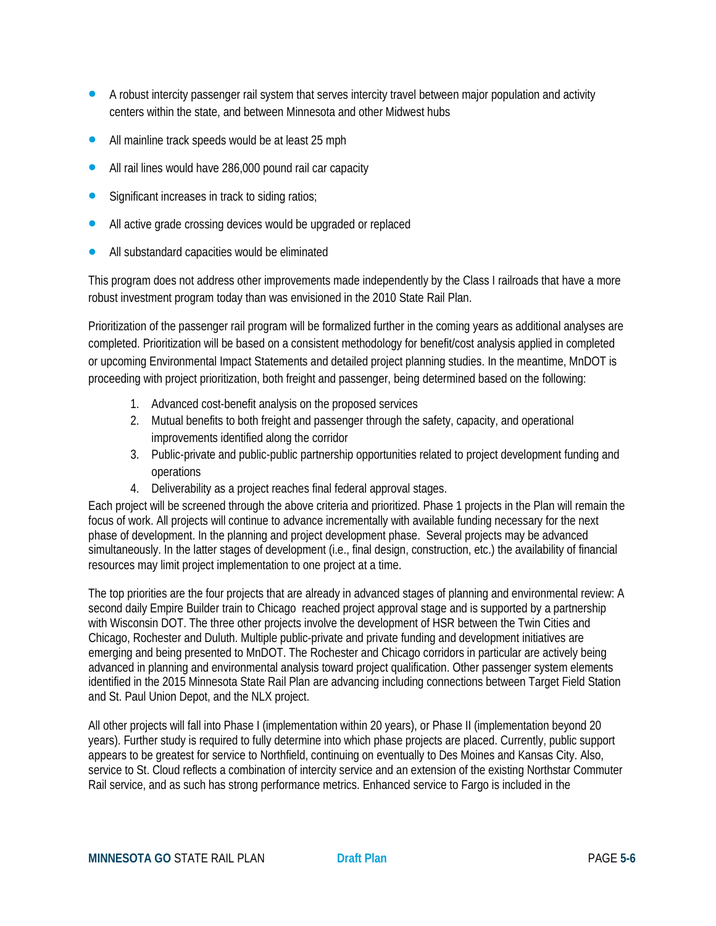- A robust intercity passenger rail system that serves intercity travel between major population and activity centers within the state, and between Minnesota and other Midwest hubs
- All mainline track speeds would be at least 25 mph
- All rail lines would have 286,000 pound rail car capacity
- Significant increases in track to siding ratios;
- All active grade crossing devices would be upgraded or replaced
- All substandard capacities would be eliminated

This program does not address other improvements made independently by the Class I railroads that have a more robust investment program today than was envisioned in the 2010 State Rail Plan.

Prioritization of the passenger rail program will be formalized further in the coming years as additional analyses are completed. Prioritization will be based on a consistent methodology for benefit/cost analysis applied in completed or upcoming Environmental Impact Statements and detailed project planning studies. In the meantime, MnDOT is proceeding with project prioritization, both freight and passenger, being determined based on the following:

- 1. Advanced cost-benefit analysis on the proposed services
- 2. Mutual benefits to both freight and passenger through the safety, capacity, and operational improvements identified along the corridor
- 3. Public-private and public-public partnership opportunities related to project development funding and operations
- 4. Deliverability as a project reaches final federal approval stages.

Each project will be screened through the above criteria and prioritized. Phase 1 projects in the Plan will remain the focus of work. All projects will continue to advance incrementally with available funding necessary for the next phase of development. In the planning and project development phase. Several projects may be advanced simultaneously. In the latter stages of development (i.e., final design, construction, etc.) the availability of financial resources may limit project implementation to one project at a time.

The top priorities are the four projects that are already in advanced stages of planning and environmental review: A second daily Empire Builder train to Chicago reached project approval stage and is supported by a partnership with Wisconsin DOT. The three other projects involve the development of HSR between the Twin Cities and Chicago, Rochester and Duluth. Multiple public-private and private funding and development initiatives are emerging and being presented to MnDOT. The Rochester and Chicago corridors in particular are actively being advanced in planning and environmental analysis toward project qualification. Other passenger system elements identified in the 2015 Minnesota State Rail Plan are advancing including connections between Target Field Station and St. Paul Union Depot, and the NLX project.

All other projects will fall into Phase I (implementation within 20 years), or Phase II (implementation beyond 20 years). Further study is required to fully determine into which phase projects are placed. Currently, public support appears to be greatest for service to Northfield, continuing on eventually to Des Moines and Kansas City. Also, service to St. Cloud reflects a combination of intercity service and an extension of the existing Northstar Commuter Rail service, and as such has strong performance metrics. Enhanced service to Fargo is included in the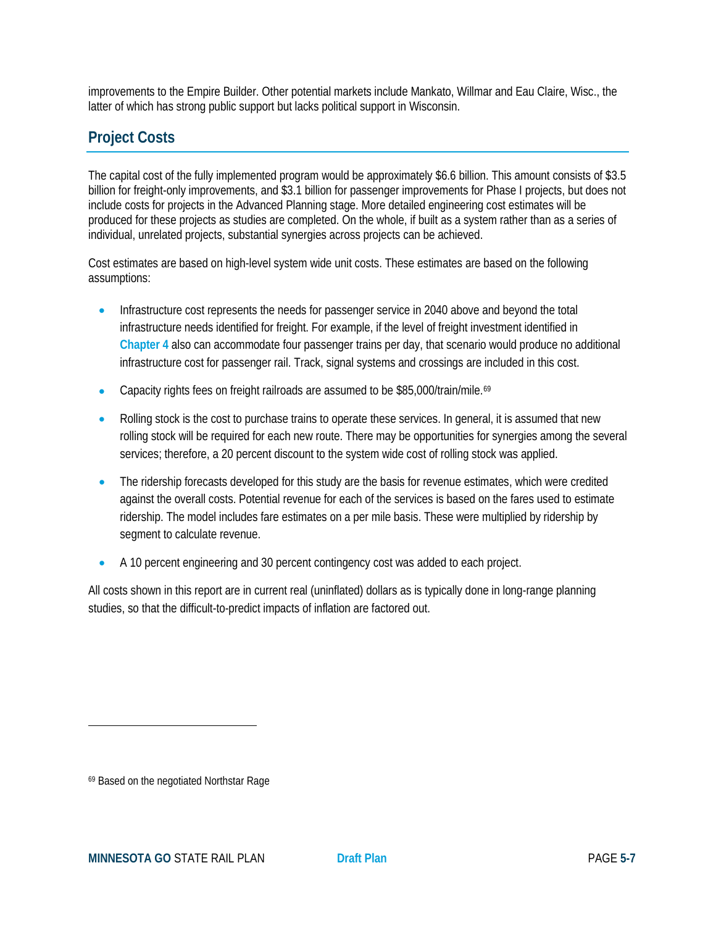improvements to the Empire Builder. Other potential markets include Mankato, Willmar and Eau Claire, Wisc., the latter of which has strong public support but lacks political support in Wisconsin.

## **Project Costs**

The capital cost of the fully implemented program would be approximately \$6.6 billion. This amount consists of \$3.5 billion for freight-only improvements, and \$3.1 billion for passenger improvements for Phase I projects, but does not include costs for projects in the Advanced Planning stage. More detailed engineering cost estimates will be produced for these projects as studies are completed. On the whole, if built as a system rather than as a series of individual, unrelated projects, substantial synergies across projects can be achieved.

Cost estimates are based on high-level system wide unit costs. These estimates are based on the following assumptions:

- Infrastructure cost represents the needs for passenger service in 2040 above and beyond the total infrastructure needs identified for freight. For example, if the level of freight investment identified in **Chapter 4** also can accommodate four passenger trains per day, that scenario would produce no additional infrastructure cost for passenger rail. Track, signal systems and crossings are included in this cost.
- Capacity rights fees on freight railroads are assumed to be \$85,000/train/mile.[69](#page-6-0)
- Rolling stock is the cost to purchase trains to operate these services. In general, it is assumed that new rolling stock will be required for each new route. There may be opportunities for synergies among the several services; therefore, a 20 percent discount to the system wide cost of rolling stock was applied.
- The ridership forecasts developed for this study are the basis for revenue estimates, which were credited against the overall costs. Potential revenue for each of the services is based on the fares used to estimate ridership. The model includes fare estimates on a per mile basis. These were multiplied by ridership by segment to calculate revenue.
- A 10 percent engineering and 30 percent contingency cost was added to each project.

All costs shown in this report are in current real (uninflated) dollars as is typically done in long-range planning studies, so that the difficult-to-predict impacts of inflation are factored out.

 $\overline{a}$ 

<span id="page-6-0"></span><sup>69</sup> Based on the negotiated Northstar Rage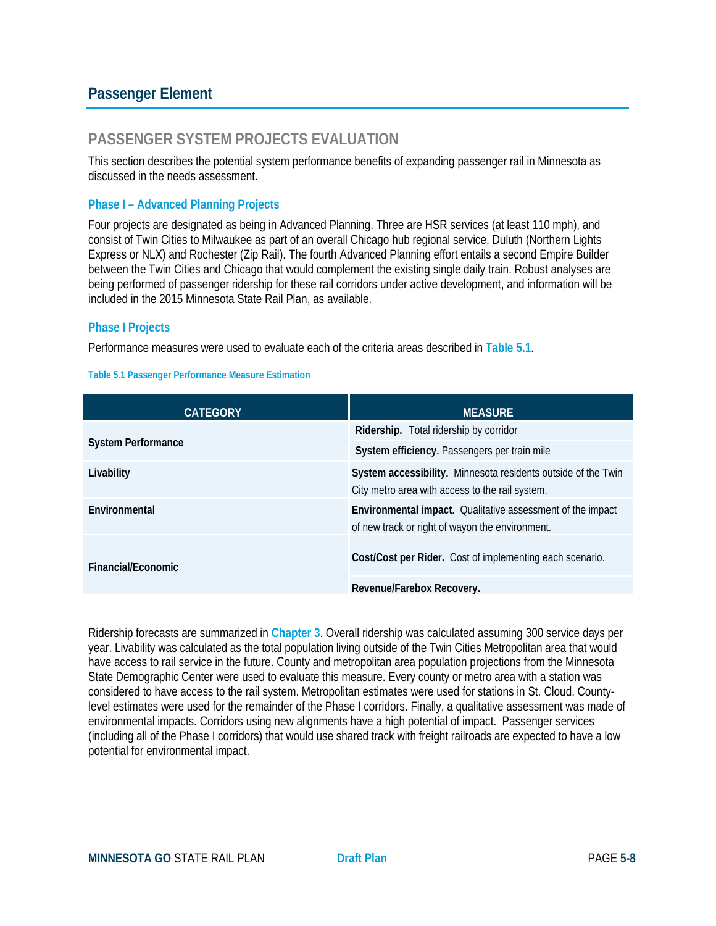## **Passenger Element**

## **PASSENGER SYSTEM PROJECTS EVALUATION**

This section describes the potential system performance benefits of expanding passenger rail in Minnesota as discussed in the needs assessment.

#### **Phase I – Advanced Planning Projects**

Four projects are designated as being in Advanced Planning. Three are HSR services (at least 110 mph), and consist of Twin Cities to Milwaukee as part of an overall Chicago hub regional service, Duluth (Northern Lights Express or NLX) and Rochester (Zip Rail). The fourth Advanced Planning effort entails a second Empire Builder between the Twin Cities and Chicago that would complement the existing single daily train. Robust analyses are being performed of passenger ridership for these rail corridors under active development, and information will be included in the 2015 Minnesota State Rail Plan, as available.

#### **Phase I Projects**

Performance measures were used to evaluate each of the criteria areas described in **Table 5.1**.

#### **Table 5.1 Passenger Performance Measure Estimation**

| <b>CATEGORY</b>           | <b>MEASURE</b>                                                                                                   |
|---------------------------|------------------------------------------------------------------------------------------------------------------|
|                           | Ridership. Total ridership by corridor                                                                           |
| <b>System Performance</b> | System efficiency. Passengers per train mile                                                                     |
| Livability                | System accessibility. Minnesota residents outside of the Twin<br>City metro area with access to the rail system. |
| Environmental             | Environmental impact. Qualitative assessment of the impact<br>of new track or right of wayon the environment.    |
| Financial/Fconomic        | Cost/Cost per Rider. Cost of implementing each scenario.                                                         |
|                           | Revenue/Farebox Recovery.                                                                                        |

Ridership forecasts are summarized in **Chapter 3**. Overall ridership was calculated assuming 300 service days per year. Livability was calculated as the total population living outside of the Twin Cities Metropolitan area that would have access to rail service in the future. County and metropolitan area population projections from the Minnesota State Demographic Center were used to evaluate this measure. Every county or metro area with a station was considered to have access to the rail system. Metropolitan estimates were used for stations in St. Cloud. Countylevel estimates were used for the remainder of the Phase I corridors. Finally, a qualitative assessment was made of environmental impacts. Corridors using new alignments have a high potential of impact. Passenger services (including all of the Phase I corridors) that would use shared track with freight railroads are expected to have a low potential for environmental impact.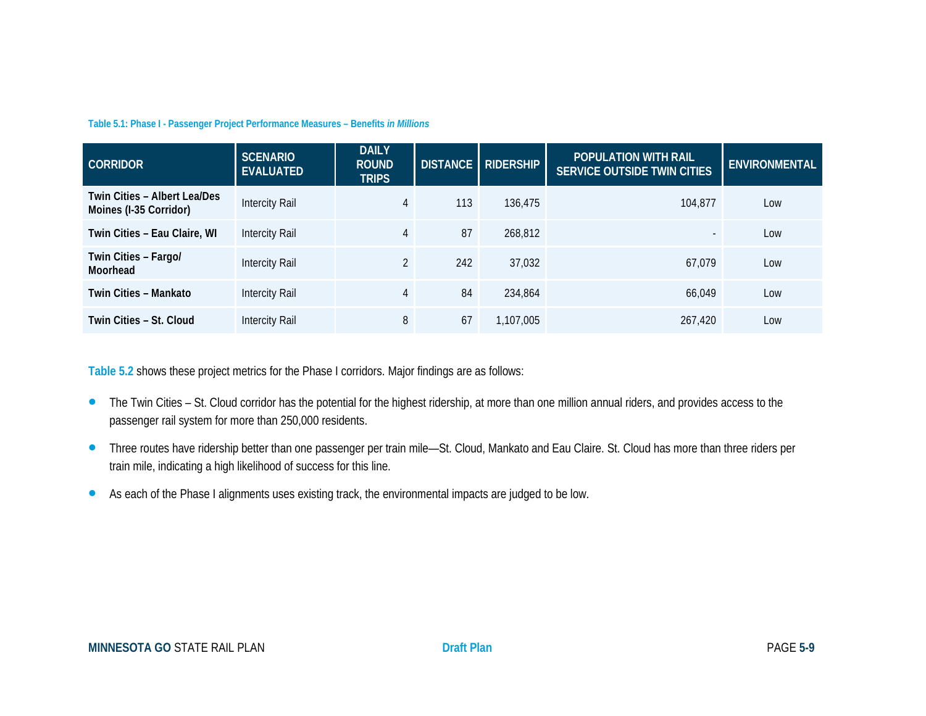#### **Table 5.1: Phase I - Passenger Project Performance Measures – Benefits** *in Millions*

| <b>CORRIDOR</b>                                        | <b>SCENARIO</b><br><b>EVALUATED</b> | <b>DAILY</b><br><b>ROUND</b><br><b>TRIPS</b> |     | DISTANCE   RIDERSHIP | <b>POPULATION WITH RAIL</b><br><b>SERVICE OUTSIDE TWIN CITIES</b> | <b>ENVIRONMENTAL</b> |
|--------------------------------------------------------|-------------------------------------|----------------------------------------------|-----|----------------------|-------------------------------------------------------------------|----------------------|
| Twin Cities - Albert Lea/Des<br>Moines (I-35 Corridor) | Intercity Rail                      | 4                                            | 113 | 136,475              | 104.877                                                           | Low                  |
| Twin Cities - Eau Claire, WI                           | Intercity Rail                      | 4                                            | 87  | 268,812              | $\sim$                                                            | Low                  |
| Twin Cities - Fargo/<br>Moorhead                       | Intercity Rail                      | $\overline{2}$                               | 242 | 37,032               | 67.079                                                            | Low                  |
| Twin Cities - Mankato                                  | Intercity Rail                      | 4                                            | 84  | 234,864              | 66.049                                                            | Low                  |
| Twin Cities - St. Cloud                                | Intercity Rail                      | 8                                            | 67  | 1,107,005            | 267.420                                                           | Low                  |

**Table 5.2** shows these project metrics for the Phase I corridors. Major findings are as follows:

- The Twin Cities St. Cloud corridor has the potential for the highest ridership, at more than one million annual riders, and provides access to the passenger rail system for more than 250,000 residents.
- Three routes have ridership better than one passenger per train mile—St. Cloud, Mankato and Eau Claire. St. Cloud has more than three riders per train mile, indicating a high likelihood of success for this line.
- As each of the Phase I alignments uses existing track, the environmental impacts are judged to be low.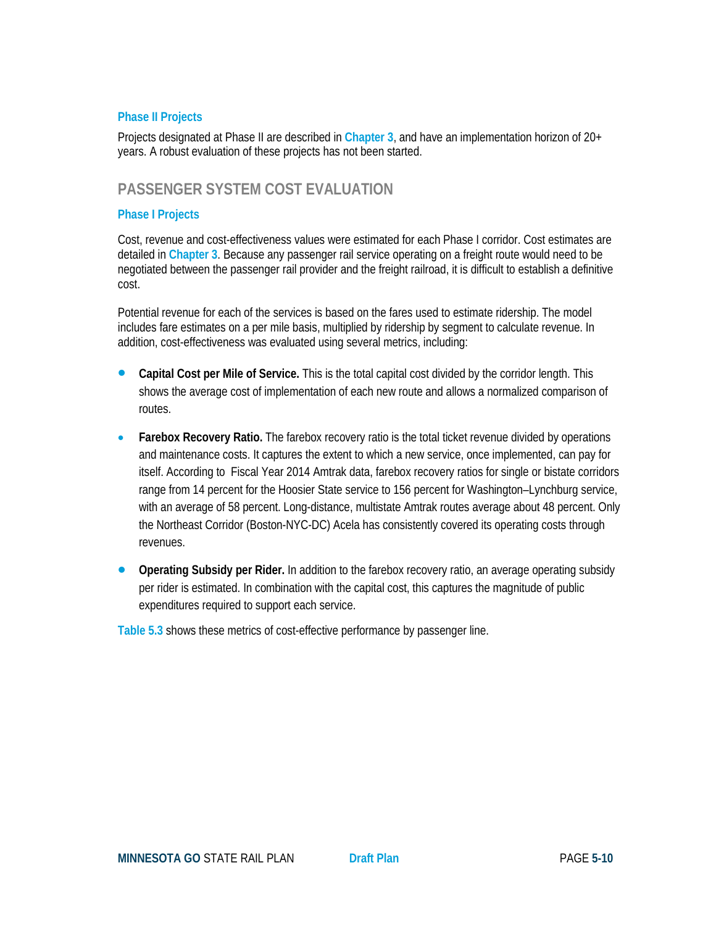### **Phase II Projects**

Projects designated at Phase II are described in **Chapter 3**, and have an implementation horizon of 20+ years. A robust evaluation of these projects has not been started.

### **PASSENGER SYSTEM COST EVALUATION**

#### **Phase I Projects**

Cost, revenue and cost-effectiveness values were estimated for each Phase I corridor. Cost estimates are detailed in **Chapter 3**. Because any passenger rail service operating on a freight route would need to be negotiated between the passenger rail provider and the freight railroad, it is difficult to establish a definitive cost.

Potential revenue for each of the services is based on the fares used to estimate ridership. The model includes fare estimates on a per mile basis, multiplied by ridership by segment to calculate revenue. In addition, cost-effectiveness was evaluated using several metrics, including:

- **Capital Cost per Mile of Service.** This is the total capital cost divided by the corridor length. This shows the average cost of implementation of each new route and allows a normalized comparison of routes.
- **Farebox Recovery Ratio**. The farebox recovery ratio is the total ticket revenue divided by operations and maintenance costs. It captures the extent to which a new service, once implemented, can pay for itself. According to Fiscal Year 2014 Amtrak data, farebox recovery ratios for single or bistate corridors range from 14 percent for the Hoosier State service to 156 percent for Washington–Lynchburg service, with an average of 58 percent. Long-distance, multistate Amtrak routes average about 48 percent. Only the Northeast Corridor (Boston-NYC-DC) Acela has consistently covered its operating costs through revenues.
- **Operating Subsidy per Rider.** In addition to the farebox recovery ratio, an average operating subsidy per rider is estimated. In combination with the capital cost, this captures the magnitude of public expenditures required to support each service.

**Table 5.3** shows these metrics of cost-effective performance by passenger line.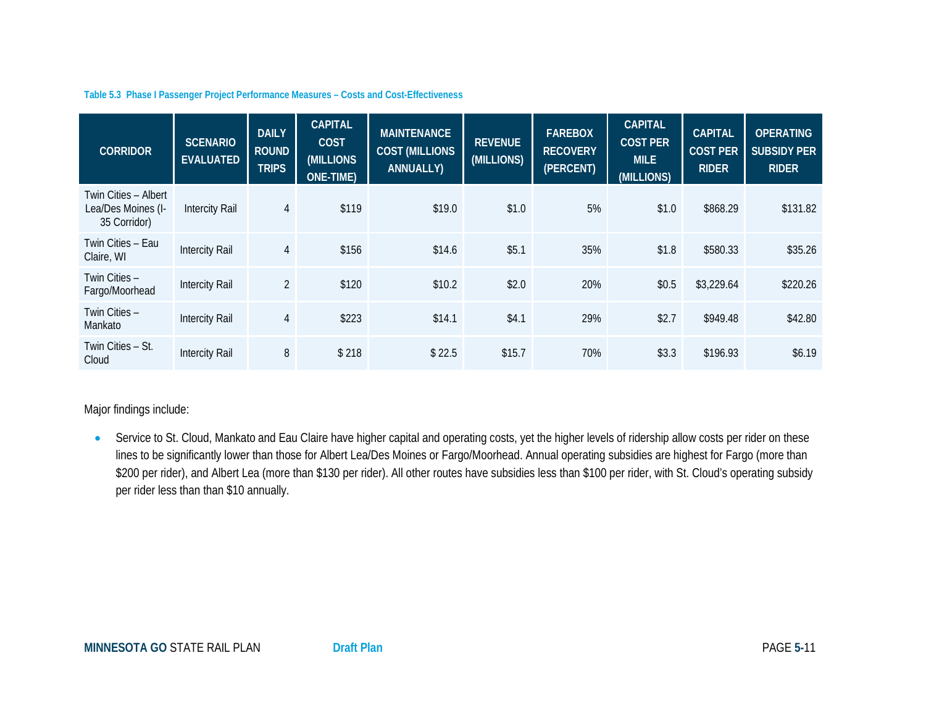#### **Table 5.3 Phase I Passenger Project Performance Measures – Costs and Cost-Effectiveness**

| <b>CORRIDOR</b>                                            | <b>SCENARIO</b><br><b>EVALUATED</b> | <b>DAILY</b><br><b>ROUND</b><br><b>TRIPS</b> | <b>CAPITAL</b><br><b>COST</b><br>(MILLIONS<br>ONE-TIME) | <b>MAINTENANCE</b><br><b>COST (MILLIONS</b><br>ANNUALLY) | <b>REVENUE</b><br>(MILLIONS) | <b>FAREBOX</b><br><b>RECOVERY</b><br>(PERCENT) | <b>CAPITAL</b><br><b>COST PER</b><br><b>MILE</b><br>(MILLIONS) | <b>CAPITAL</b><br><b>COST PER</b><br><b>RIDER</b> | <b>OPERATING</b><br><b>SUBSIDY PER</b><br><b>RIDER</b> |
|------------------------------------------------------------|-------------------------------------|----------------------------------------------|---------------------------------------------------------|----------------------------------------------------------|------------------------------|------------------------------------------------|----------------------------------------------------------------|---------------------------------------------------|--------------------------------------------------------|
| Twin Cities - Albert<br>Lea/Des Moines (I-<br>35 Corridor) | <b>Intercity Rail</b>               | $\overline{4}$                               | \$119                                                   | \$19.0                                                   | \$1.0                        | 5%                                             | \$1.0                                                          | \$868.29                                          | \$131.82                                               |
| Twin Cities - Eau<br>Claire, WI                            | <b>Intercity Rail</b>               | $\overline{4}$                               | \$156                                                   | \$14.6                                                   | \$5.1                        | 35%                                            | \$1.8                                                          | \$580.33                                          | \$35.26                                                |
| Twin Cities -<br>Fargo/Moorhead                            | <b>Intercity Rail</b>               | $\overline{2}$                               | \$120                                                   | \$10.2                                                   | \$2.0                        | 20%                                            | \$0.5                                                          | \$3,229.64                                        | \$220.26                                               |
| Twin Cities -<br>Mankato                                   | <b>Intercity Rail</b>               | $\overline{4}$                               | \$223                                                   | \$14.1                                                   | \$4.1                        | 29%                                            | \$2.7                                                          | \$949.48                                          | \$42.80                                                |
| Twin Cities - St.<br>Cloud                                 | <b>Intercity Rail</b>               | 8                                            | \$218                                                   | \$22.5                                                   | \$15.7                       | 70%                                            | \$3.3                                                          | \$196.93                                          | \$6.19                                                 |

### Major findings include:

• Service to St. Cloud, Mankato and Eau Claire have higher capital and operating costs, yet the higher levels of ridership allow costs per rider on these lines to be significantly lower than those for Albert Lea/Des Moines or Fargo/Moorhead. Annual operating subsidies are highest for Fargo (more than \$200 per rider), and Albert Lea (more than \$130 per rider). All other routes have subsidies less than \$100 per rider, with St. Cloud's operating subsidy per rider less than than \$10 annually.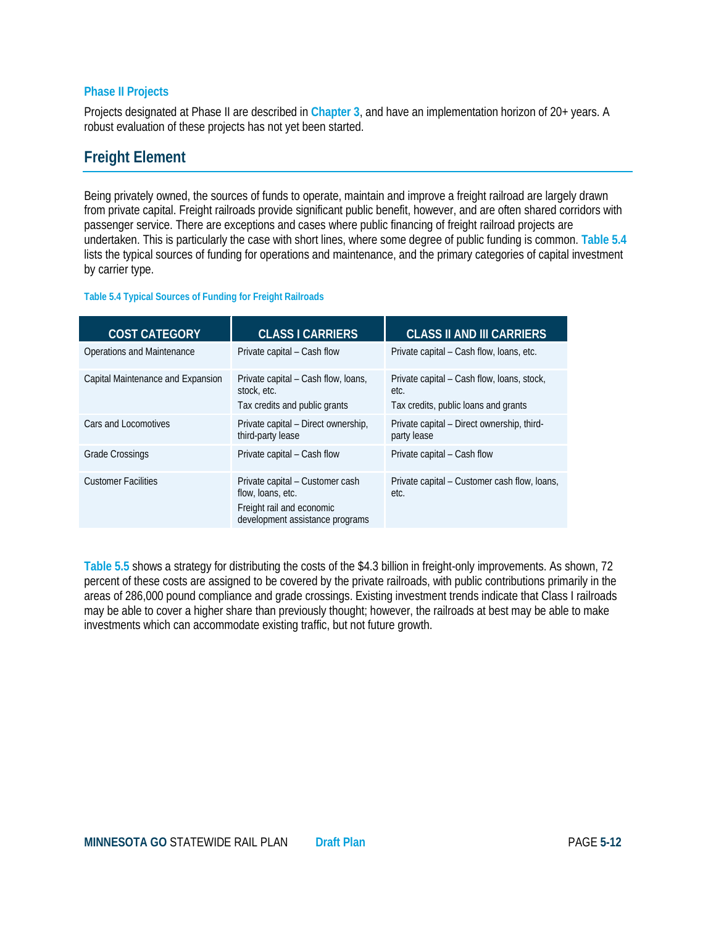#### **Phase II Projects**

Projects designated at Phase II are described in **Chapter 3**, and have an implementation horizon of 20+ years. A robust evaluation of these projects has not yet been started.

## **Freight Element**

Being privately owned, the sources of funds to operate, maintain and improve a freight railroad are largely drawn from private capital. Freight railroads provide significant public benefit, however, and are often shared corridors with passenger service. There are exceptions and cases where public financing of freight railroad projects are undertaken. This is particularly the case with short lines, where some degree of public funding is common. **Table 5.4** lists the typical sources of funding for operations and maintenance, and the primary categories of capital investment by carrier type.

#### **Table 5.4 Typical Sources of Funding for Freight Railroads**

| <b>COST CATEGORY</b>              | <b>CLASS I CARRIERS</b>                                                                                              | <b>CLASS II AND III CARRIERS</b>                                                           |
|-----------------------------------|----------------------------------------------------------------------------------------------------------------------|--------------------------------------------------------------------------------------------|
| Operations and Maintenance        | Private capital – Cash flow                                                                                          | Private capital – Cash flow, loans, etc.                                                   |
| Capital Maintenance and Expansion | Private capital – Cash flow, loans,<br>stock, etc.<br>Tax credits and public grants                                  | Private capital – Cash flow, loans, stock,<br>etc.<br>Tax credits, public loans and grants |
| Cars and Locomotives              | Private capital – Direct ownership,<br>third-party lease                                                             | Private capital - Direct ownership, third-<br>party lease                                  |
| <b>Grade Crossings</b>            | Private capital - Cash flow                                                                                          | Private capital - Cash flow                                                                |
| <b>Customer Facilities</b>        | Private capital - Customer cash<br>flow, loans, etc.<br>Freight rail and economic<br>development assistance programs | Private capital – Customer cash flow, loans,<br>etc.                                       |

**Table 5.5** shows a strategy for distributing the costs of the \$4.3 billion in freight-only improvements. As shown, 72 percent of these costs are assigned to be covered by the private railroads, with public contributions primarily in the areas of 286,000 pound compliance and grade crossings. Existing investment trends indicate that Class I railroads may be able to cover a higher share than previously thought; however, the railroads at best may be able to make investments which can accommodate existing traffic, but not future growth.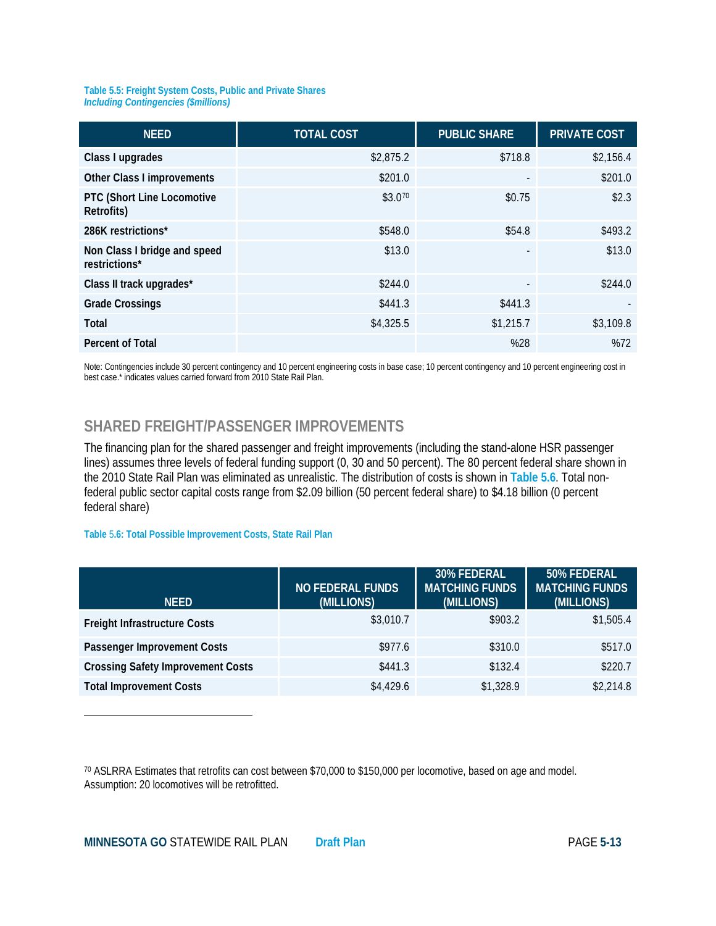#### **Table 5.5: Freight System Costs, Public and Private Shares** *Including Contingencies (\$millions)*

| <b>NEED</b>                                   | <b>TOTAL COST</b> | <b>PUBLIC SHARE</b>      | <b>PRIVATE COST</b> |
|-----------------------------------------------|-------------------|--------------------------|---------------------|
| Class I upgrades                              | \$2,875.2         | \$718.8                  | \$2,156.4           |
| Other Class I improvements                    | \$201.0           |                          | \$201.0             |
| PTC (Short Line Locomotive<br>Retrofits)      | \$3.070           | \$0.75                   | \$2.3               |
| 286K restrictions*                            | \$548.0           | \$54.8                   | \$493.2             |
| Non Class I bridge and speed<br>restrictions* | \$13.0            | $\overline{\phantom{a}}$ | \$13.0              |
| Class II track upgrades*                      | \$244.0           |                          | \$244.0             |
| <b>Grade Crossings</b>                        | \$441.3           | \$441.3                  |                     |
| Total                                         | \$4,325.5         | \$1,215.7                | \$3,109.8           |
| <b>Percent of Total</b>                       |                   | %28                      | %72                 |

Note: Contingencies include 30 percent contingency and 10 percent engineering costs in base case; 10 percent contingency and 10 percent engineering cost in best case.\* indicates values carried forward from 2010 State Rail Plan.

## **SHARED FREIGHT/PASSENGER IMPROVEMENTS**

The financing plan for the shared passenger and freight improvements (including the stand-alone HSR passenger lines) assumes three levels of federal funding support (0, 30 and 50 percent). The 80 percent federal share shown in the 2010 State Rail Plan was eliminated as unrealistic. The distribution of costs is shown in **Table 5.6**. Total nonfederal public sector capital costs range from \$2.09 billion (50 percent federal share) to \$4.18 billion (0 percent federal share)

#### **Table** 5**.6: Total Possible Improvement Costs, State Rail Plan**

 $\overline{\phantom{a}}$ 

| <b>NFFD</b>                              | <b>NO FEDERAL FUNDS</b><br>(MILLIONS) | 30% FEDERAL<br><b>MATCHING FUNDS</b><br>(MILLIONS) | 50% FEDERAL<br><b>MATCHING FUNDS</b><br>(MILLIONS) |
|------------------------------------------|---------------------------------------|----------------------------------------------------|----------------------------------------------------|
| <b>Freight Infrastructure Costs</b>      | \$3,010.7                             | \$903.2                                            | \$1,505.4                                          |
| Passenger Improvement Costs              | \$977.6                               | \$310.0                                            | \$517.0                                            |
| <b>Crossing Safety Improvement Costs</b> | \$441.3                               | \$132.4                                            | \$220.7                                            |
| <b>Total Improvement Costs</b>           | \$4,429.6                             | \$1,328.9                                          | \$2,214.8                                          |

<span id="page-12-0"></span><sup>70</sup> ASLRRA Estimates that retrofits can cost between \$70,000 to \$150,000 per locomotive, based on age and model. Assumption: 20 locomotives will be retrofitted.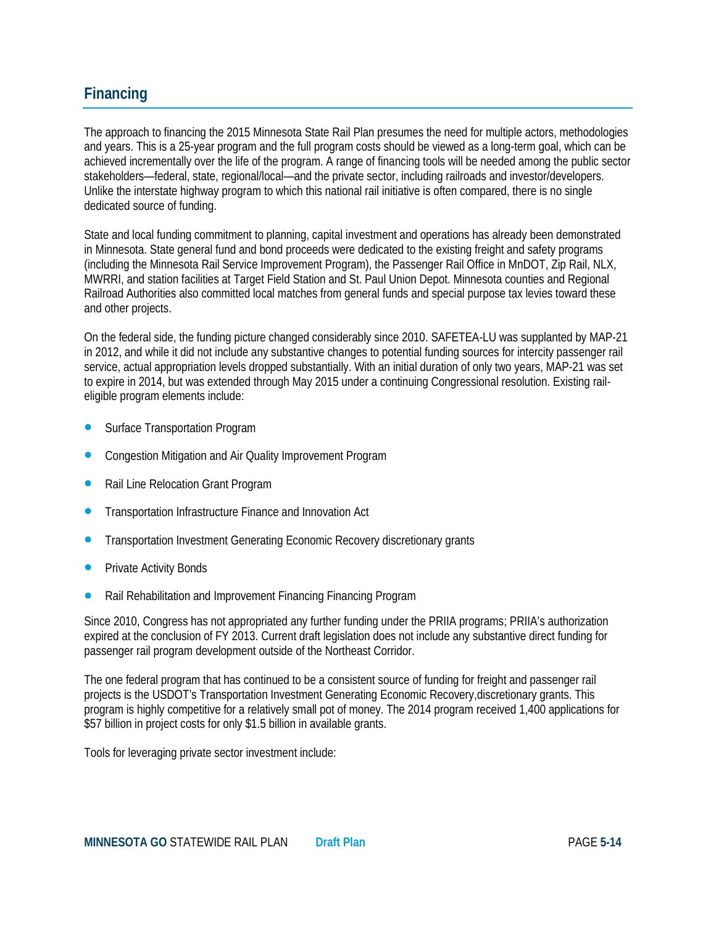## **Financing**

The approach to financing the 2015 Minnesota State Rail Plan presumes the need for multiple actors, methodologies and years. This is a 25-year program and the full program costs should be viewed as a long-term goal, which can be achieved incrementally over the life of the program. A range of financing tools will be needed among the public sector stakeholders—federal, state, regional/local—and the private sector, including railroads and investor/developers. Unlike the interstate highway program to which this national rail initiative is often compared, there is no single dedicated source of funding.

State and local funding commitment to planning, capital investment and operations has already been demonstrated in Minnesota. State general fund and bond proceeds were dedicated to the existing freight and safety programs (including the Minnesota Rail Service Improvement Program), the Passenger Rail Office in MnDOT, Zip Rail, NLX, MWRRI, and station facilities at Target Field Station and St. Paul Union Depot. Minnesota counties and Regional Railroad Authorities also committed local matches from general funds and special purpose tax levies toward these and other projects.

On the federal side, the funding picture changed considerably since 2010. SAFETEA-LU was supplanted by MAP-21 in 2012, and while it did not include any substantive changes to potential funding sources for intercity passenger rail service, actual appropriation levels dropped substantially. With an initial duration of only two years, MAP-21 was set to expire in 2014, but was extended through May 2015 under a continuing Congressional resolution. Existing raileligible program elements include:

- Surface Transportation Program
- Congestion Mitigation and Air Quality Improvement Program
- Rail Line Relocation Grant Program
- Transportation Infrastructure Finance and Innovation Act
- Transportation Investment Generating Economic Recovery discretionary grants
- Private Activity Bonds
- Rail Rehabilitation and Improvement Financing Financing Program

Since 2010, Congress has not appropriated any further funding under the PRIIA programs; PRIIA's authorization expired at the conclusion of FY 2013. Current draft legislation does not include any substantive direct funding for passenger rail program development outside of the Northeast Corridor.

The one federal program that has continued to be a consistent source of funding for freight and passenger rail projects is the USDOT's Transportation Investment Generating Economic Recovery,discretionary grants. This program is highly competitive for a relatively small pot of money. The 2014 program received 1,400 applications for \$57 billion in project costs for only \$1.5 billion in available grants.

Tools for leveraging private sector investment include: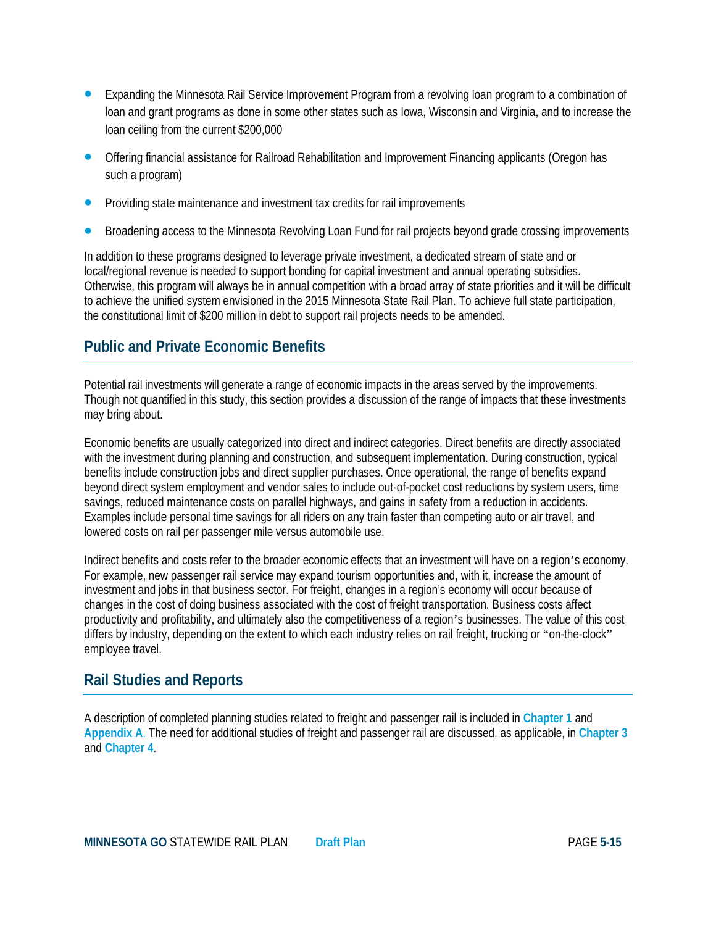- Expanding the Minnesota Rail Service Improvement Program from a revolving loan program to a combination of loan and grant programs as done in some other states such as Iowa, Wisconsin and Virginia, and to increase the loan ceiling from the current \$200,000
- Offering financial assistance for Railroad Rehabilitation and Improvement Financing applicants (Oregon has such a program)
- Providing state maintenance and investment tax credits for rail improvements
- Broadening access to the Minnesota Revolving Loan Fund for rail projects beyond grade crossing improvements

In addition to these programs designed to leverage private investment, a dedicated stream of state and or local/regional revenue is needed to support bonding for capital investment and annual operating subsidies. Otherwise, this program will always be in annual competition with a broad array of state priorities and it will be difficult to achieve the unified system envisioned in the 2015 Minnesota State Rail Plan. To achieve full state participation, the constitutional limit of \$200 million in debt to support rail projects needs to be amended.

## **Public and Private Economic Benefits**

Potential rail investments will generate a range of economic impacts in the areas served by the improvements. Though not quantified in this study, this section provides a discussion of the range of impacts that these investments may bring about.

Economic benefits are usually categorized into direct and indirect categories. Direct benefits are directly associated with the investment during planning and construction, and subsequent implementation. During construction, typical benefits include construction jobs and direct supplier purchases. Once operational, the range of benefits expand beyond direct system employment and vendor sales to include out-of-pocket cost reductions by system users, time savings, reduced maintenance costs on parallel highways, and gains in safety from a reduction in accidents. Examples include personal time savings for all riders on any train faster than competing auto or air travel, and lowered costs on rail per passenger mile versus automobile use.

Indirect benefits and costs refer to the broader economic effects that an investment will have on a region's economy. For example, new passenger rail service may expand tourism opportunities and, with it, increase the amount of investment and jobs in that business sector. For freight, changes in a region's economy will occur because of changes in the cost of doing business associated with the cost of freight transportation. Business costs affect productivity and profitability, and ultimately also the competitiveness of a region's businesses. The value of this cost differs by industry, depending on the extent to which each industry relies on rail freight, trucking or "on-the-clock" employee travel.

## **Rail Studies and Reports**

A description of completed planning studies related to freight and passenger rail is included in **Chapter 1** and **Appendix A**. The need for additional studies of freight and passenger rail are discussed, as applicable, in **Chapter 3** and **Chapter 4**.